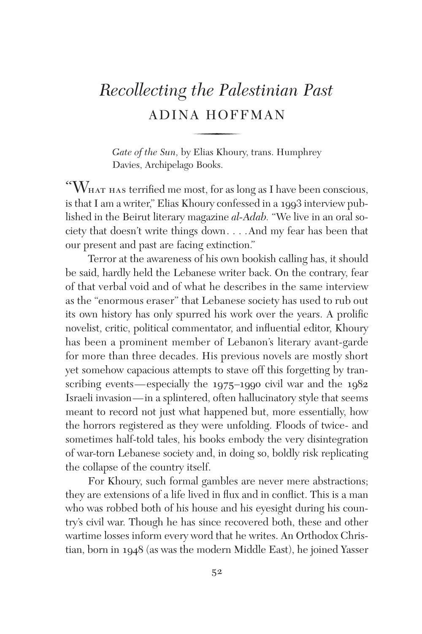## *Recollecting the Palestinian Past* ADINA HOFFMAN

*Gate of the Sun,* by Elias Khoury, trans. Humphrey Davies, Archipelago Books.

 $\lq\lq W_{\text{HAT HAS}}$  terrified me most, for as long as I have been conscious, is that I am a writer," Elias Khoury confessed in a 1993 interview published in the Beirut literary magazine *al-Adab.* "We live in an oral society that doesn't write things down. . . .And my fear has been that our present and past are facing extinction."

Terror at the awareness of his own bookish calling has, it should be said, hardly held the Lebanese writer back. On the contrary, fear of that verbal void and of what he describes in the same interview as the "enormous eraser" that Lebanese society has used to rub out its own history has only spurred his work over the years. A prolific novelist, critic, political commentator, and influential editor, Khoury has been a prominent member of Lebanon's literary avant-garde for more than three decades. His previous novels are mostly short yet somehow capacious attempts to stave off this forgetting by transcribing events—especially the 1975–1990 civil war and the 1982 Israeli invasion—in a splintered, often hallucinatory style that seems meant to record not just what happened but, more essentially, how the horrors registered as they were unfolding. Floods of twice- and sometimes half-told tales, his books embody the very disintegration of war-torn Lebanese society and, in doing so, boldly risk replicating the collapse of the country itself.

For Khoury, such formal gambles are never mere abstractions; they are extensions of a life lived in flux and in conflict. This is a man who was robbed both of his house and his eyesight during his country's civil war. Though he has since recovered both, these and other wartime losses inform every word that he writes. An Orthodox Christian, born in 1948 (as was the modern Middle East), he joined Yasser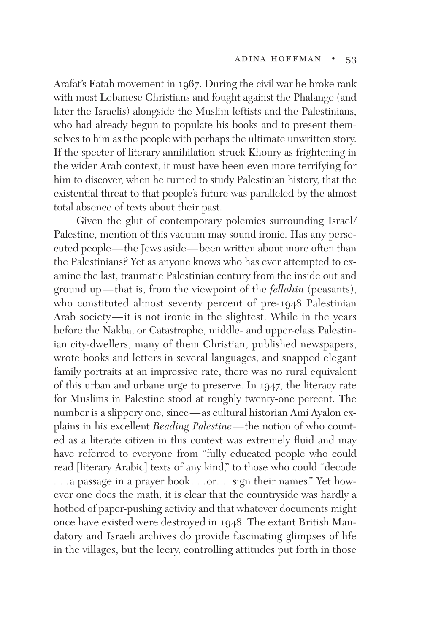Arafat's Fatah movement in 1967. During the civil war he broke rank with most Lebanese Christians and fought against the Phalange (and later the Israelis) alongside the Muslim leftists and the Palestinians, who had already begun to populate his books and to present themselves to him as the people with perhaps the ultimate unwritten story. If the specter of literary annihilation struck Khoury as frightening in the wider Arab context, it must have been even more terrifying for him to discover, when he turned to study Palestinian history, that the existential threat to that people's future was paralleled by the almost total absence of texts about their past.

Given the glut of contemporary polemics surrounding Israel/ Palestine, mention of this vacuum may sound ironic. Has any persecuted people—the Jews aside—been written about more often than the Palestinians? Yet as anyone knows who has ever attempted to examine the last, traumatic Palestinian century from the inside out and ground up—that is, from the viewpoint of the *fellahin* (peasants), who constituted almost seventy percent of pre-1948 Palestinian Arab society—it is not ironic in the slightest. While in the years before the Nakba, or Catastrophe, middle- and upper-class Palestinian city-dwellers, many of them Christian, published newspapers, wrote books and letters in several languages, and snapped elegant family portraits at an impressive rate, there was no rural equivalent of this urban and urbane urge to preserve. In 1947, the literacy rate for Muslims in Palestine stood at roughly twenty-one percent. The number is a slippery one, since—as cultural historian Ami Ayalon explains in his excellent *Reading Palestine*—the notion of who counted as a literate citizen in this context was extremely fluid and may have referred to everyone from "fully educated people who could read [literary Arabic] texts of any kind," to those who could "decode . . .a passage in a prayer book. . .or. . .sign their names." Yet however one does the math, it is clear that the countryside was hardly a hotbed of paper-pushing activity and that whatever documents might once have existed were destroyed in 1948. The extant British Mandatory and Israeli archives do provide fascinating glimpses of life in the villages, but the leery, controlling attitudes put forth in those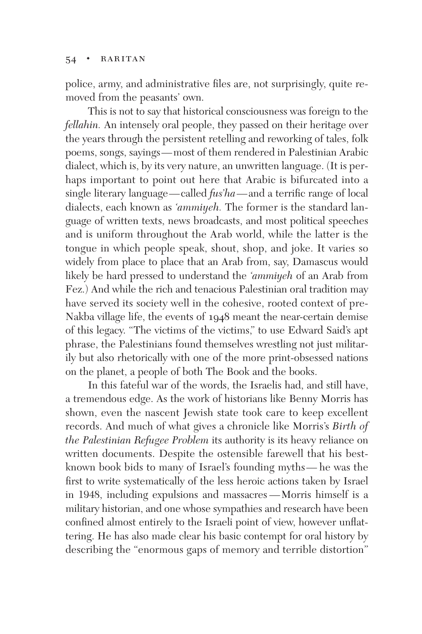## $54 \cdot$  RARITAN

police, army, and administrative files are, not surprisingly, quite removed from the peasants' own.

This is not to say that historical consciousness was foreign to the *fellahin.* An intensely oral people, they passed on their heritage over the years through the persistent retelling and reworking of tales, folk poems, songs, sayings—most of them rendered in Palestinian Arabic dialect, which is, by its very nature, an unwritten language. (It is perhaps important to point out here that Arabic is bifurcated into a single literary language—called *fus'ha*—and a terrific range of local dialects, each known as *'ammiyeh.* The former is the standard language of written texts, news broadcasts, and most political speeches and is uniform throughout the Arab world, while the latter is the tongue in which people speak, shout, shop, and joke. It varies so widely from place to place that an Arab from, say, Damascus would likely be hard pressed to understand the *'ammiyeh* of an Arab from Fez.) And while the rich and tenacious Palestinian oral tradition may have served its society well in the cohesive, rooted context of pre-Nakba village life, the events of 1948 meant the near-certain demise of this legacy. "The victims of the victims," to use Edward Said's apt phrase, the Palestinians found themselves wrestling not just militarily but also rhetorically with one of the more print-obsessed nations on the planet, a people of both The Book and the books.

In this fateful war of the words, the Israelis had, and still have, a tremendous edge. As the work of historians like Benny Morris has shown, even the nascent Jewish state took care to keep excellent records. And much of what gives a chronicle like Morris's *Birth of the Palestinian Refugee Problem* its authority is its heavy reliance on written documents. Despite the ostensible farewell that his bestknown book bids to many of Israel's founding myths— he was the first to write systematically of the less heroic actions taken by Israel in 1948, including expulsions and massacres —Morris himself is a military historian, and one whose sympathies and research have been confined almost entirely to the Israeli point of view, however unflattering. He has also made clear his basic contempt for oral history by describing the "enormous gaps of memory and terrible distortion"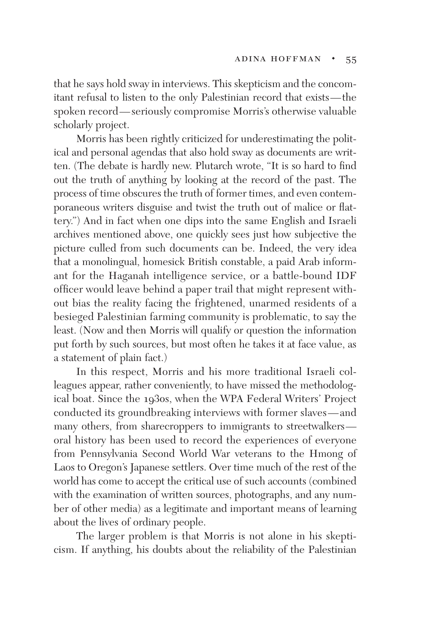that he says hold sway in interviews. This skepticism and the concomitant refusal to listen to the only Palestinian record that exists—the spoken record—seriously compromise Morris's otherwise valuable scholarly project.

Morris has been rightly criticized for underestimating the political and personal agendas that also hold sway as documents are written. (The debate is hardly new. Plutarch wrote, "It is so hard to find out the truth of anything by looking at the record of the past. The process of time obscures the truth of former times, and even contemporaneous writers disguise and twist the truth out of malice or flattery.") And in fact when one dips into the same English and Israeli archives mentioned above, one quickly sees just how subjective the picture culled from such documents can be. Indeed, the very idea that a monolingual, homesick British constable, a paid Arab informant for the Haganah intelligence service, or a battle-bound IDF officer would leave behind a paper trail that might represent without bias the reality facing the frightened, unarmed residents of a besieged Palestinian farming community is problematic, to say the least. (Now and then Morris will qualify or question the information put forth by such sources, but most often he takes it at face value, as a statement of plain fact.)

In this respect, Morris and his more traditional Israeli colleagues appear, rather conveniently, to have missed the methodological boat. Since the 1930s, when the WPA Federal Writers' Project conducted its groundbreaking interviews with former slaves—and many others, from sharecroppers to immigrants to streetwalkers oral history has been used to record the experiences of everyone from Pennsylvania Second World War veterans to the Hmong of Laos to Oregon's Japanese settlers. Over time much of the rest of the world has come to accept the critical use of such accounts (combined with the examination of written sources, photographs, and any number of other media) as a legitimate and important means of learning about the lives of ordinary people.

The larger problem is that Morris is not alone in his skepticism. If anything, his doubts about the reliability of the Palestinian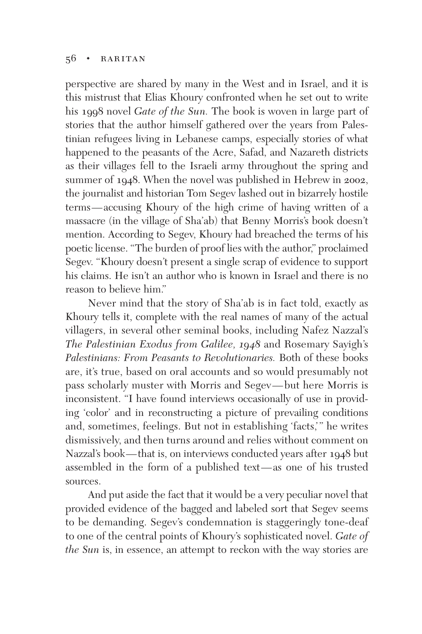## $56 \cdot$  RARITAN

perspective are shared by many in the West and in Israel, and it is this mistrust that Elias Khoury confronted when he set out to write his 1998 novel *Gate of the Sun.* The book is woven in large part of stories that the author himself gathered over the years from Palestinian refugees living in Lebanese camps, especially stories of what happened to the peasants of the Acre, Safad, and Nazareth districts as their villages fell to the Israeli army throughout the spring and summer of 1948. When the novel was published in Hebrew in 2002, the journalist and historian Tom Segev lashed out in bizarrely hostile terms—accusing Khoury of the high crime of having written of a massacre (in the village of Sha'ab) that Benny Morris's book doesn't mention. According to Segev, Khoury had breached the terms of his poetic license. "The burden of proof lies with the author," proclaimed Segev. "Khoury doesn't present a single scrap of evidence to support his claims. He isn't an author who is known in Israel and there is no reason to believe him."

Never mind that the story of Sha'ab is in fact told, exactly as Khoury tells it, complete with the real names of many of the actual villagers, in several other seminal books, including Nafez Nazzal's *The Palestinian Exodus from Galilee, 1948* and Rosemary Sayigh's *Palestinians: From Peasants to Revolutionaries.* Both of these books are, it's true, based on oral accounts and so would presumably not pass scholarly muster with Morris and Segev—but here Morris is inconsistent. "I have found interviews occasionally of use in providing 'color' and in reconstructing a picture of prevailing conditions and, sometimes, feelings. But not in establishing 'facts,'" he writes dismissively, and then turns around and relies without comment on Nazzal's book—that is, on interviews conducted years after 1948 but assembled in the form of a published text—as one of his trusted sources.

And put aside the fact that it would be a very peculiar novel that provided evidence of the bagged and labeled sort that Segev seems to be demanding. Segev's condemnation is staggeringly tone-deaf to one of the central points of Khoury's sophisticated novel. *Gate of the Sun* is, in essence, an attempt to reckon with the way stories are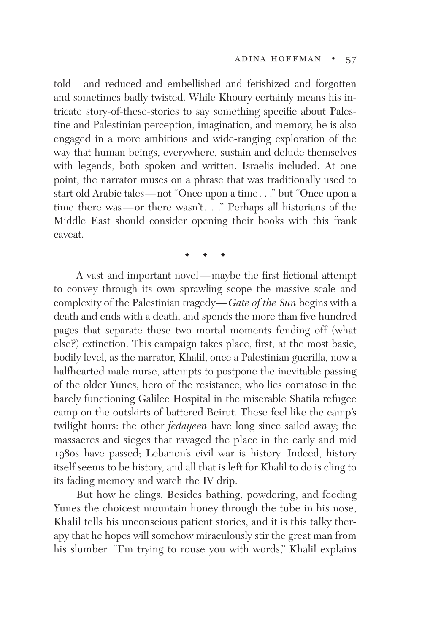told—and reduced and embellished and fetishized and forgotten and sometimes badly twisted. While Khoury certainly means his intricate story-of-these-stories to say something specific about Palestine and Palestinian perception, imagination, and memory, he is also engaged in a more ambitious and wide-ranging exploration of the way that human beings, everywhere, sustain and delude themselves with legends, both spoken and written. Israelis included. At one point, the narrator muses on a phrase that was traditionally used to start old Arabic tales—not "Once upon a time. . ." but "Once upon a time there was—or there wasn't. . ." Perhaps all historians of the Middle East should consider opening their books with this frank caveat.

◆ **◆ ◆** 

A vast and important novel—maybe the first fictional attempt to convey through its own sprawling scope the massive scale and complexity of the Palestinian tragedy—*Gate of the Sun* begins with a death and ends with a death, and spends the more than five hundred pages that separate these two mortal moments fending off (what else?) extinction. This campaign takes place, first, at the most basic, bodily level, as the narrator, Khalil, once a Palestinian guerilla, now a halfhearted male nurse, attempts to postpone the inevitable passing of the older Yunes, hero of the resistance, who lies comatose in the barely functioning Galilee Hospital in the miserable Shatila refugee camp on the outskirts of battered Beirut. These feel like the camp's twilight hours: the other *fedayeen* have long since sailed away; the massacres and sieges that ravaged the place in the early and mid 1980s have passed; Lebanon's civil war is history. Indeed, history itself seems to be history, and all that is left for Khalil to do is cling to its fading memory and watch the IV drip.

But how he clings. Besides bathing, powdering, and feeding Yunes the choicest mountain honey through the tube in his nose, Khalil tells his unconscious patient stories, and it is this talky therapy that he hopes will somehow miraculously stir the great man from his slumber. "I'm trying to rouse you with words," Khalil explains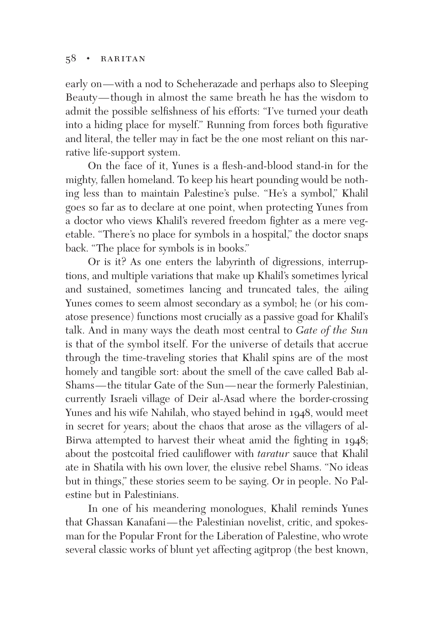## $58 \cdot$  RARITAN

early on—with a nod to Scheherazade and perhaps also to Sleeping Beauty—though in almost the same breath he has the wisdom to admit the possible selfishness of his efforts: "I've turned your death into a hiding place for myself." Running from forces both figurative and literal, the teller may in fact be the one most reliant on this narrative life-support system.

On the face of it, Yunes is a flesh-and-blood stand-in for the mighty, fallen homeland. To keep his heart pounding would be nothing less than to maintain Palestine's pulse. "He's a symbol," Khalil goes so far as to declare at one point, when protecting Yunes from a doctor who views Khalil's revered freedom fighter as a mere vegetable. "There's no place for symbols in a hospital," the doctor snaps back. "The place for symbols is in books."

Or is it? As one enters the labyrinth of digressions, interruptions, and multiple variations that make up Khalil's sometimes lyrical and sustained, sometimes lancing and truncated tales, the ailing Yunes comes to seem almost secondary as a symbol; he (or his comatose presence) functions most crucially as a passive goad for Khalil's talk. And in many ways the death most central to *Gate of the Sun* is that of the symbol itself. For the universe of details that accrue through the time-traveling stories that Khalil spins are of the most homely and tangible sort: about the smell of the cave called Bab al-Shams—the titular Gate of the Sun—near the formerly Palestinian, currently Israeli village of Deir al-Asad where the border-crossing Yunes and his wife Nahilah, who stayed behind in 1948, would meet in secret for years; about the chaos that arose as the villagers of al-Birwa attempted to harvest their wheat amid the fighting in 1948; about the postcoital fried cauliflower with *taratur* sauce that Khalil ate in Shatila with his own lover, the elusive rebel Shams. "No ideas but in things," these stories seem to be saying. Or in people. No Palestine but in Palestinians.

In one of his meandering monologues, Khalil reminds Yunes that Ghassan Kanafani—the Palestinian novelist, critic, and spokesman for the Popular Front for the Liberation of Palestine, who wrote several classic works of blunt yet affecting agitprop (the best known,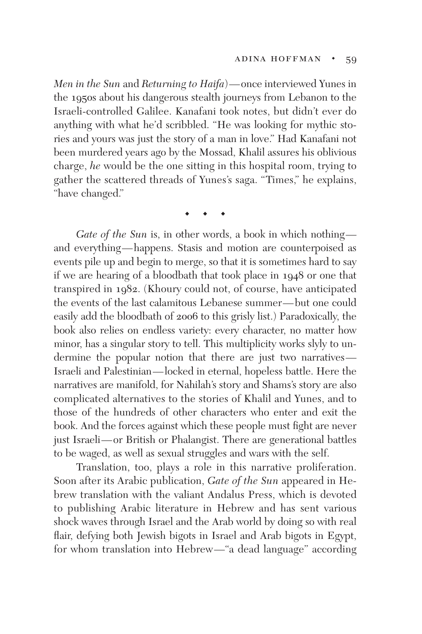*Men in the Sun* and *Returning to Haifa*)—once interviewed Yunes in the 1950s about his dangerous stealth journeys from Lebanon to the Israeli-controlled Galilee. Kanafani took notes, but didn't ever do anything with what he'd scribbled. "He was looking for mythic stories and yours was just the story of a man in love." Had Kanafani not been murdered years ago by the Mossad, Khalil assures his oblivious charge, *he* would be the one sitting in this hospital room, trying to gather the scattered threads of Yunes's saga. "Times," he explains, "have changed."

◆ **◆ ◆** 

*Gate of the Sun* is, in other words, a book in which nothing and everything—happens. Stasis and motion are counterpoised as events pile up and begin to merge, so that it is sometimes hard to say if we are hearing of a bloodbath that took place in 1948 or one that transpired in 1982. (Khoury could not, of course, have anticipated the events of the last calamitous Lebanese summer—but one could easily add the bloodbath of 2006 to this grisly list.) Paradoxically, the book also relies on endless variety: every character, no matter how minor, has a singular story to tell. This multiplicity works slyly to undermine the popular notion that there are just two narratives— Israeli and Palestinian—locked in eternal, hopeless battle. Here the narratives are manifold, for Nahilah's story and Shams's story are also complicated alternatives to the stories of Khalil and Yunes, and to those of the hundreds of other characters who enter and exit the book. And the forces against which these people must fight are never just Israeli—or British or Phalangist. There are generational battles to be waged, as well as sexual struggles and wars with the self.

Translation, too, plays a role in this narrative proliferation. Soon after its Arabic publication, *Gate of the Sun* appeared in Hebrew translation with the valiant Andalus Press, which is devoted to publishing Arabic literature in Hebrew and has sent various shock waves through Israel and the Arab world by doing so with real flair, defying both Jewish bigots in Israel and Arab bigots in Egypt, for whom translation into Hebrew—"a dead language" according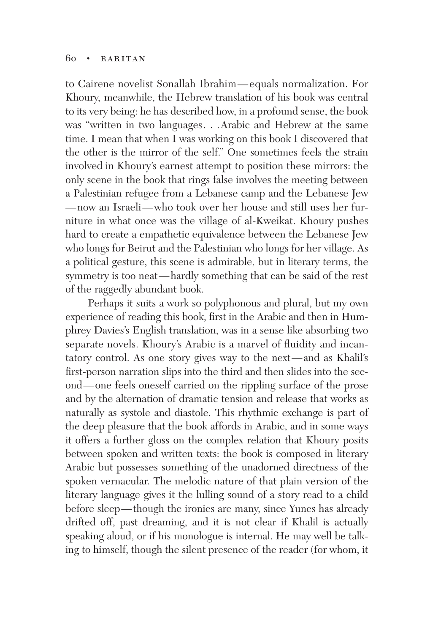to Cairene novelist Sonallah Ibrahim—equals normalization. For Khoury, meanwhile, the Hebrew translation of his book was central to its very being: he has described how, in a profound sense, the book was "written in two languages. . .Arabic and Hebrew at the same time. I mean that when I was working on this book I discovered that the other is the mirror of the self." One sometimes feels the strain involved in Khoury's earnest attempt to position these mirrors: the only scene in the book that rings false involves the meeting between a Palestinian refugee from a Lebanese camp and the Lebanese Jew —now an Israeli—who took over her house and still uses her furniture in what once was the village of al-Kweikat. Khoury pushes hard to create a empathetic equivalence between the Lebanese Jew who longs for Beirut and the Palestinian who longs for her village. As a political gesture, this scene is admirable, but in literary terms, the symmetry is too neat—hardly something that can be said of the rest of the raggedly abundant book.

Perhaps it suits a work so polyphonous and plural, but my own experience of reading this book, first in the Arabic and then in Humphrey Davies's English translation, was in a sense like absorbing two separate novels. Khoury's Arabic is a marvel of fluidity and incantatory control. As one story gives way to the next—and as Khalil's first-person narration slips into the third and then slides into the second—one feels oneself carried on the rippling surface of the prose and by the alternation of dramatic tension and release that works as naturally as systole and diastole. This rhythmic exchange is part of the deep pleasure that the book affords in Arabic, and in some ways it offers a further gloss on the complex relation that Khoury posits between spoken and written texts: the book is composed in literary Arabic but possesses something of the unadorned directness of the spoken vernacular. The melodic nature of that plain version of the literary language gives it the lulling sound of a story read to a child before sleep—though the ironies are many, since Yunes has already drifted off, past dreaming, and it is not clear if Khalil is actually speaking aloud, or if his monologue is internal. He may well be talking to himself, though the silent presence of the reader (for whom, it